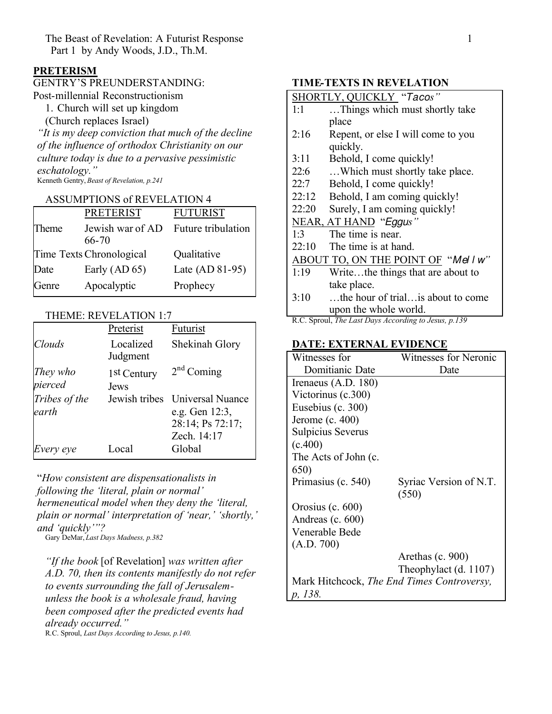The Beast of Revelation: A Futurist Response 1 Part 1 by Andy Woods, J.D., Th.M.

# **PRETERISM**

# GENTRY'S PREUNDERSTANDING:

Post-millennial Reconstructionism

1. Church will set up kingdom

(Church replaces Israel)

*"It is my deep conviction that much of the decline of the influence of orthodox Christianity on our culture today is due to a pervasive pessimistic eschatology."*

Kenneth Gentry, *Beast of Revelation, p.241*

#### ASSUMPTIONS of REVELATION 4

|       | <b>PRETERIST</b>                             | <b>FUTURIST</b> |
|-------|----------------------------------------------|-----------------|
| Theme | Jewish war of AD Future tribulation<br>66-70 |                 |
|       | Time Texts Chronological                     | Qualitative     |
| Date  | Early $(AD 65)$                              | Late (AD 81-95) |
| Genre | Apocalyptic                                  | Prophecy        |

#### THEME: REVELATION 1:7

|                        | Preterist                       | Futurist                                                                            |
|------------------------|---------------------------------|-------------------------------------------------------------------------------------|
| Clouds                 | Localized<br>Judgment           | Shekinah Glory                                                                      |
| They who<br>pierced    | 1 <sup>st</sup> Century<br>Jews | $2nd$ Coming                                                                        |
| Tribes of the<br>earth |                                 | Jewish tribes Universal Nuance<br>e.g. Gen 12:3,<br>28:14; Ps 72:17;<br>Zech. 14:17 |
| Every eye              | Local                           | Global                                                                              |

"*How consistent are dispensationalists in following the 'literal, plain or normal' hermeneutical model when they deny the 'literal, plain or normal' interpretation of 'near,' 'shortly,' and 'quickly'"?*

Gary DeMar, *Last Days Madness, p.382*

*"If the book* [of Revelation] *was written after A.D. 70, then its contents manifestly do not refer to events surrounding the fall of Jerusalemunless the book is a wholesale fraud, having been composed after the predicted events had already occurred."*

R.C. Sproul, *Last Days According to Jesus, p.140.*

## **TIME-TEXTS IN REVELATION**

R.C. Sproul, *The Last Days According to Jesus, p.139*

#### **DATE: EXTERNAL EVIDENCE**

| Witnesses for                              | Witnesses for Neronic  |
|--------------------------------------------|------------------------|
| Domitianic Date                            | Date                   |
| Irenaeus $(A.D. 180)$                      |                        |
| Victorinus (c.300)                         |                        |
| Eusebius (c. 300)                          |                        |
| Jerome (c. $400$ )                         |                        |
| <b>Sulpicius Severus</b>                   |                        |
| (c.400)                                    |                        |
| The Acts of John (c.                       |                        |
| 650)                                       |                        |
| Primasius (c. 540)                         | Syriac Version of N.T. |
|                                            | (550)                  |
| Orosius $(c. 600)$                         |                        |
| Andreas $(c. 600)$                         |                        |
| Venerable Bede                             |                        |
| (A.D. 700)                                 |                        |
|                                            | Arethas (c. 900)       |
|                                            | Theophylact (d. 1107)  |
| Mark Hitchcock, The End Times Controversy, |                        |
| p, 138.                                    |                        |